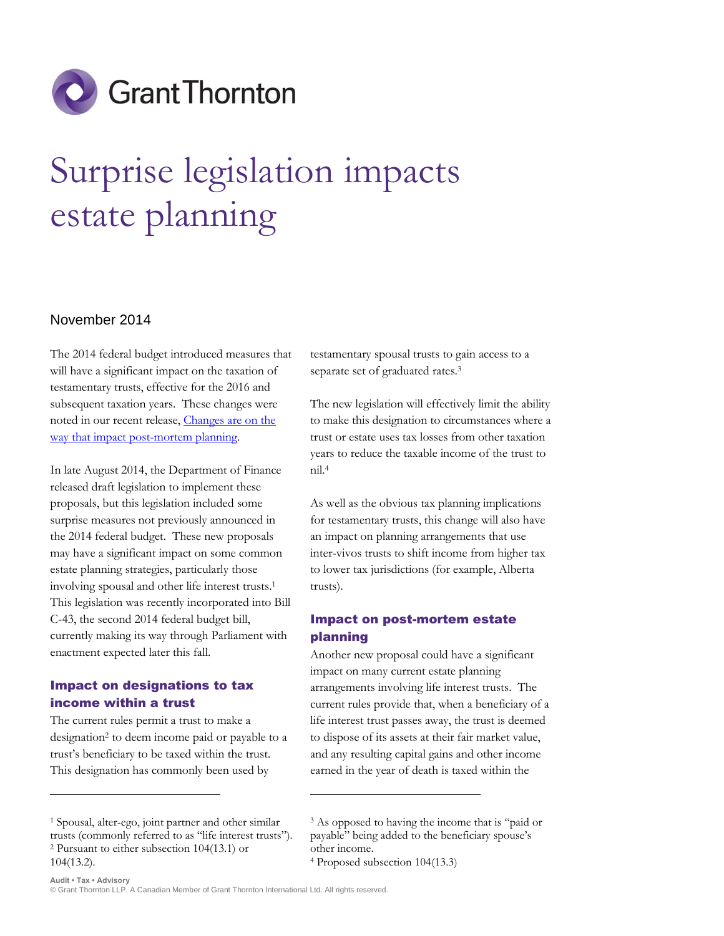

# Surprise legislation impacts estate planning

#### November 2014

The 2014 federal budget introduced measures that will have a significant impact on the taxation of testamentary trusts, effective for the 2016 and subsequent taxation years. These changes were noted in our recent release, [Changes are on the](http://www.grantthornton.ca/resources/insights/articles/Changes_are_on_the_way_that_impact_post-mortem_planning.pdf)  [way that impact post-mortem planning.](http://www.grantthornton.ca/resources/insights/articles/Changes_are_on_the_way_that_impact_post-mortem_planning.pdf)

In late August 2014, the Department of Finance released draft legislation to implement these proposals, but this legislation included some surprise measures not previously announced in the 2014 federal budget. These new proposals may have a significant impact on some common estate planning strategies, particularly those involving spousal and other life interest trusts.<sup>1</sup> This legislation was recently incorporated into Bill C-43, the second 2014 federal budget bill, currently making its way through Parliament with enactment expected later this fall.

### Impact on designations to tax income within a trust

 $\overline{a}$ 

The current rules permit a trust to make a designation<sup>2</sup> to deem income paid or payable to a trust's beneficiary to be taxed within the trust. This designation has commonly been used by

testamentary spousal trusts to gain access to a separate set of graduated rates.<sup>3</sup>

The new legislation will effectively limit the ability to make this designation to circumstances where a trust or estate uses tax losses from other taxation years to reduce the taxable income of the trust to nil.<sup>4</sup>

As well as the obvious tax planning implications for testamentary trusts, this change will also have an impact on planning arrangements that use inter-vivos trusts to shift income from higher tax to lower tax jurisdictions (for example, Alberta trusts).

## Impact on post-mortem estate planning

Another new proposal could have a significant impact on many current estate planning arrangements involving life interest trusts. The current rules provide that, when a beneficiary of a life interest trust passes away, the trust is deemed to dispose of its assets at their fair market value, and any resulting capital gains and other income earned in the year of death is taxed within the

**.** 

<sup>1</sup> Spousal, alter-ego, joint partner and other similar trusts (commonly referred to as "life interest trusts"). <sup>2</sup> Pursuant to either subsection 104(13.1) or 104(13.2).

<sup>3</sup> As opposed to having the income that is "paid or payable" being added to the beneficiary spouse's other income.

<sup>4</sup> Proposed subsection 104(13.3)